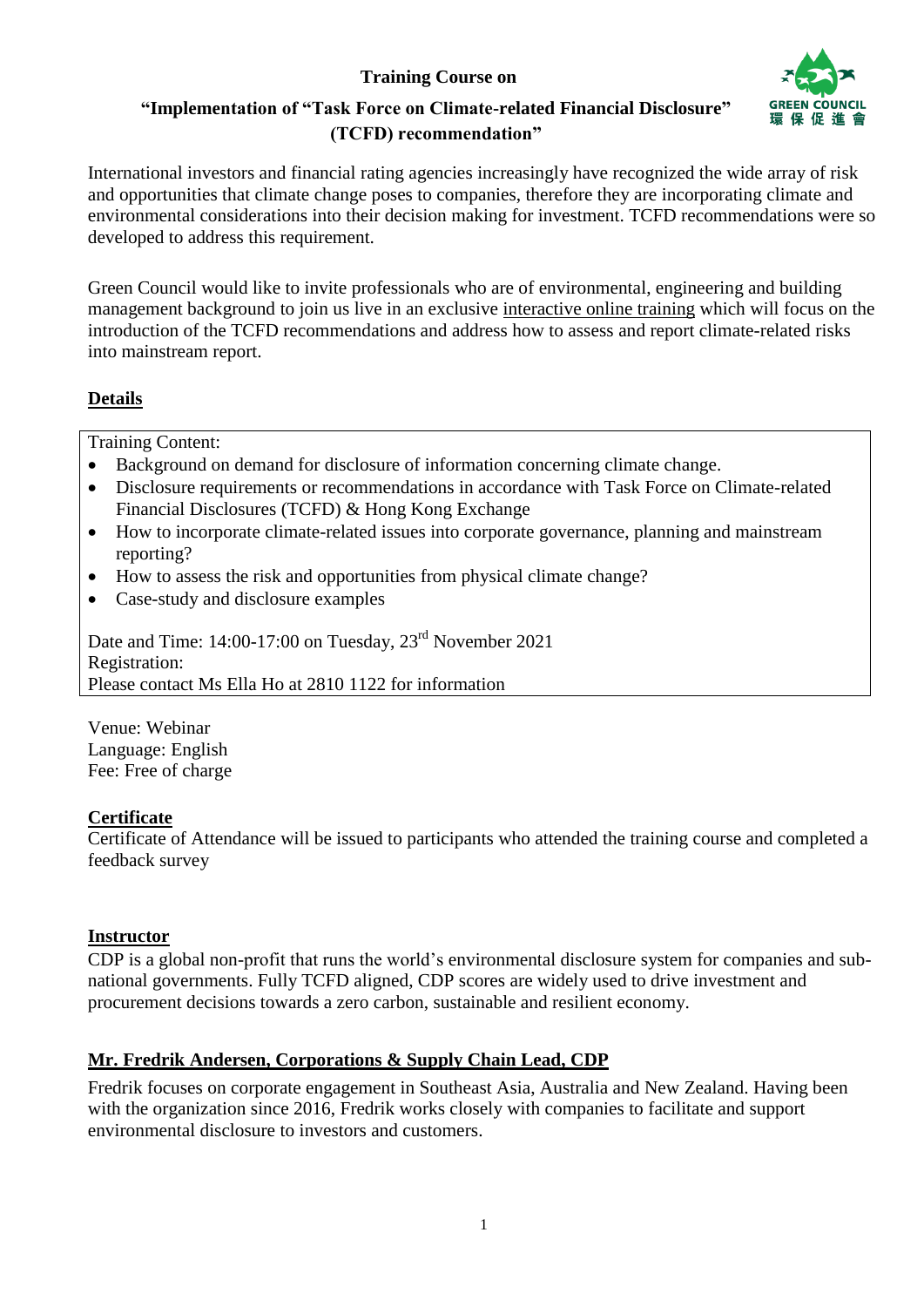# **Training Course on**



# **"Implementation of "Task Force on Climate-related Financial Disclosure" (TCFD) recommendation"**

International investors and financial rating agencies increasingly have recognized the wide array of risk and opportunities that climate change poses to companies, therefore they are incorporating climate and environmental considerations into their decision making for investment. TCFD recommendations were so developed to address this requirement.

Green Council would like to invite professionals who are of environmental, engineering and building management background to join us live in an exclusive interactive online training which will focus on the introduction of the TCFD recommendations and address how to assess and report climate-related risks into mainstream report.

### **Details**

Training Content:

- Background on demand for disclosure of information concerning climate change.
- Disclosure requirements or recommendations in accordance with Task Force on Climate-related Financial Disclosures (TCFD) & Hong Kong Exchange
- How to incorporate climate-related issues into corporate governance, planning and mainstream reporting?
- How to assess the risk and opportunities from physical climate change?
- Case-study and disclosure examples

Date and Time: 14:00-17:00 on Tuesday,  $23<sup>rd</sup>$  November 2021 Registration: Please contact Ms Ella Ho at 2810 1122 for information

Venue: Webinar Language: English Fee: Free of charge

#### **Certificate**

Certificate of Attendance will be issued to participants who attended the training course and completed a feedback survey

#### **Instructor**

CDP is a global non-profit that runs the world's environmental disclosure system for companies and subnational governments. Fully TCFD aligned, CDP scores are widely used to drive investment and procurement decisions towards a zero carbon, sustainable and resilient economy.

#### **Mr. Fredrik Andersen, Corporations & Supply Chain Lead, CDP**

Fredrik focuses on corporate engagement in Southeast Asia, Australia and New Zealand. Having been with the organization since 2016, Fredrik works closely with companies to facilitate and support environmental disclosure to investors and customers.